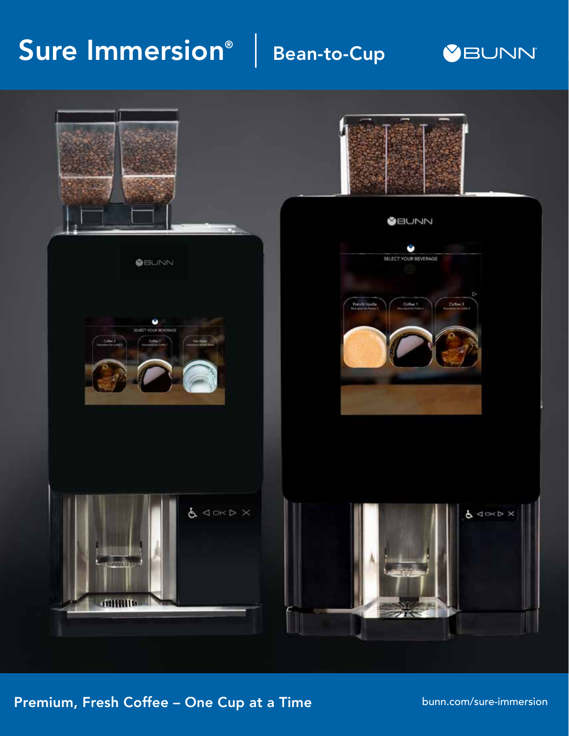## Sure Immersion<sup>®</sup>

## Bean-to-Cup





### Premium, Fresh Coffee – One Cup at a Time

bunn.com/sure-immersion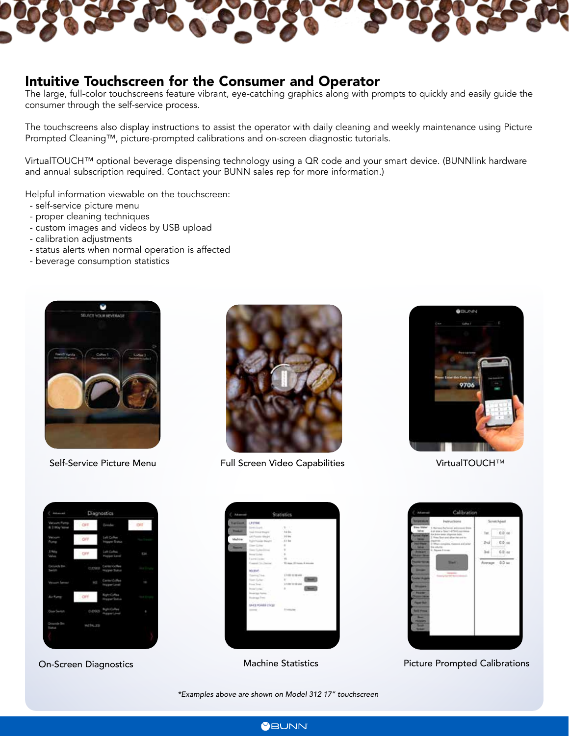

#### Intuitive Touchscreen for the Consumer and Operator

The large, full-color touchscreens feature vibrant, eye-catching graphics along with prompts to quickly and easily guide the consumer through the self-service process.

The touchscreens also display instructions to assist the operator with daily cleaning and weekly maintenance using Picture Prompted Cleaning™, picture-prompted calibrations and on-screen diagnostic tutorials.

VirtualTOUCH™ optional beverage dispensing technology using a QR code and your smart device. (BUNNlink hardware and annual subscription required. Contact your BUNN sales rep for more information.)

Helpful information viewable on the touchscreen:

- self-service picture menu
- proper cleaning techniques
- custom images and videos by USB upload
- calibration adjustments
- status alerts when normal operation is affected
- beverage consumption statistics





Self-Service Picture Menu Full Screen Video Capabilities VirtualTOUCH™



| Vatuum Pump<br>& I Hay Voted   | OFF<br>cч     | Greater                                     | OFF.                     |
|--------------------------------|---------------|---------------------------------------------|--------------------------|
| Value<br><b>Pump</b>           | $-$ 0/7       | Left Coffee<br>Hopper Trans                 | <b>Filter Primaries</b>  |
| J Way<br><b>Volve.</b>         | OFF           | Left Collee<br><b>Piopper Lane</b>          | <b>King</b>              |
| Genevin Bar<br>Switch          | cuosso        | <b>Center College</b><br>Hope Suite         | <b>ALL LON</b>           |
| <b>Victorial Service</b>       | <b>RCC</b>    | Carter Coffee<br><b>Hopper Land</b>         | $+4$                     |
| Air Pamp                       | ore           | <b>Right Coffee</b><br><b>Hopper Status</b> | <b>State Corporation</b> |
| Door Switch                    | <b>CLOSED</b> | Right College<br><b>Hupper Lived</b>        | ٠                        |
| Grounds Bin<br><b>Starting</b> | WSTALLED      |                                             |                          |

| <b><i><u>National</u></i></b><br>LESSER.      |                                    |
|-----------------------------------------------|------------------------------------|
| bow dwell.                                    | Library Co.                        |
| <b>Ford and</b><br>Top Drive Hope             | $-0.634$                           |
| <b>Collective Stage</b><br>s.                 | 10044                              |
| Madrise<br>Rujin Posicie (Neght)              | $-3.1$ ks                          |
| Class College";<br><b>Service</b>             | 18                                 |
| Gase Guiden Diver                             | $\mathbf{r}$                       |
| <b>Broad Goods</b>                            | 18<br>u                            |
| Experimental control                          | THE CONTRACTOR                     |
| Exposit Co., Davisal                          | - We down 10 August 10 Instruments |
| <b>Contract Contract Contract</b><br>Michael. |                                    |
| Tolerand Trees                                | 17120 2120-449                     |
| Text Europe                                   | (1, 1, 1, 1, 1)<br>-               |
| From Toral                                    | Listen to be aw-                   |
| <b>Road Contact</b>                           | ٠<br>-                             |
| <b>District Service</b>                       | $-7799$                            |
| <b>Business Trees</b>                         |                                    |
| <u> Talian a</u>                              |                                    |
| MACK POWER COLLET                             |                                    |
| 1000                                          | <b>Honor</b>                       |



On-Screen Diagnostics **Machine Statistics** Picture Prompted Calibrations

*\*Examples above are shown on Model 312 17" touchscreen*

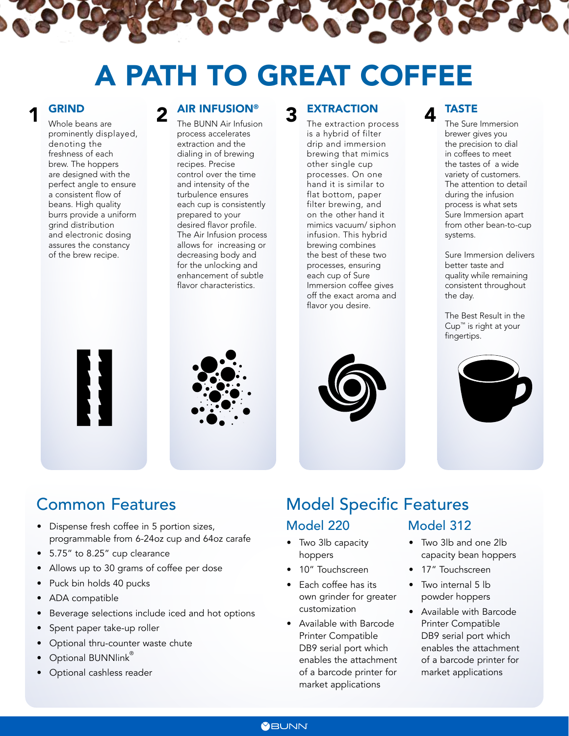# A PATH TO GREAT COFFEE

Whole beans are prominently displayed, denoting the freshness of each brew. The hoppers are designed with the perfect angle to ensure a consistent flow of beans. High quality burrs provide a uniform grind distribution and electronic dosing assures the constancy of the brew recipe.

#### AIR INFUSION®

The BUNN Air Infusion process accelerates extraction and the dialing in of brewing recipes. Precise control over the time and intensity of the turbulence ensures each cup is consistently prepared to your desired flavor profile. The Air Infusion process allows for increasing or decreasing body and for the unlocking and enhancement of subtle flavor characteristics.

#### **EXTRACTION**

**1 GRIND** Whole beans are **2** AIR INFUSION<sup>®</sup> **3** EXTRACTION **4** The extraction process **4** The extraction process is a hybrid of filter drip and immersion brewing that mimics other single cup processes. On one hand it is similar to flat bottom, paper filter brewing, and on the other hand it mimics vacuum/ siphon infusion. This hybrid brewing combines the best of these two processes, ensuring each cup of Sure Immersion coffee gives off the exact aroma and flavor you desire.

### TASTE

The Sure Immersion brewer gives you the precision to dial in coffees to meet the tastes of a wide variety of customers. The attention to detail during the infusion process is what sets Sure Immersion apart from other bean-to-cup systems.

Sure Immersion delivers better taste and quality while remaining consistent throughout the day.

The Best Result in the Cup™ is right at your fingertips.







## Common Features

- Dispense fresh coffee in 5 portion sizes, programmable from 6-24oz cup and 64oz carafe
- 5.75" to 8.25" cup clearance
- Allows up to 30 grams of coffee per dose
- Puck bin holds 40 pucks
- ADA compatible
- Beverage selections include iced and hot options
- Spent paper take-up roller
- Optional thru-counter waste chute
- Optional BUNNlink®
- Optional cashless reader

## Model Specific Features Model 220 Model 312

- Two 3lb capacity hoppers
- 10" Touchscreen
- Each coffee has its own grinder for greater customization
- Available with Barcode Printer Compatible DB9 serial port which enables the attachment of a barcode printer for market applications

## • Two 3lb and one 2lb

- capacity bean hoppers
- 17" Touchscreen
- Two internal 5 lb powder hoppers
- Available with Barcode Printer Compatible DB9 serial port which enables the attachment of a barcode printer for market applications